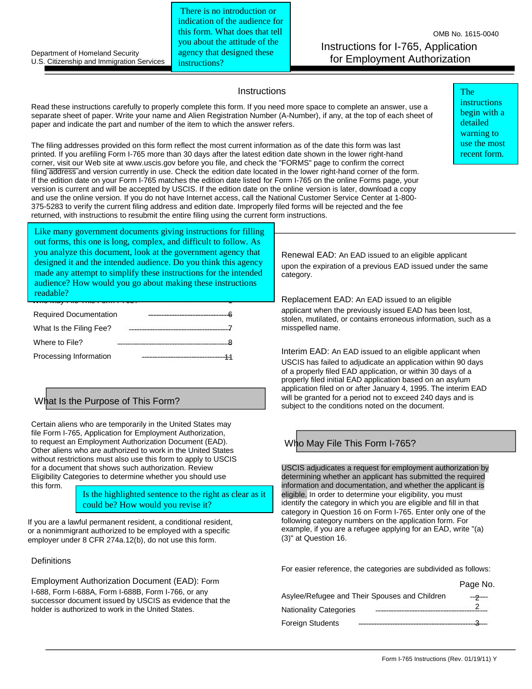Department of Homeland Security U.S. Citizenship and Immigration Services

There is no introduction or indication of the audience for this form. What does that tell you about the attitude of the agency that designed these instructions?

OMB No. 1615-0040 Instructions for I-765, Application for Employment Authorization

## **Instructions**

Read these instructions carefully to properly complete this form. If you need more space to complete an answer, use a separate sheet of paper. Write your name and Alien Registration Number (A-Number), if any, at the top of each sheet of paper and indicate the part and number of the item to which the answer refers.

The filing addresses provided on this form reflect the most current information as of the date this form was last printed. If you arefiling Form I-765 more than 30 days after the latest edition date shown in the lower right-hand corner, visit our Web site at www.uscis.gov before you file, and check the "FORMS" page to confirm the correct filing address and version currently in use. Check the edition date located in the lower right-hand corner of the form. If the edition date on your Form I-765 matches the edition date listed for Form I-765 on the online Forms page, your version is current and will be accepted by USCIS. If the edition date on the online version is later, download a copy and use the online version. If you do not have Internet access, call the National Customer Service Center at 1-800- 375-5283 to verify the current filing address and edition date. Improperly filed forms will be rejected and the fee returned, with instructions to resubmit the entire filing using the current form instructions.

The instructions begin with a detailed warning to use the most recent form.

Index designed it and the intended audience. Do you think this agency made any attempt to simplify these instructions for the intended audience? How would you go about making these instructions Who May I no This Form I 760. 7 Like many government documents giving instructions for filling out forms, this one is long, complex, and difficult to follow. As you analyze this document, look at the government agency that readable?

| <b>Required Documentation</b> |  |
|-------------------------------|--|
| What Is the Filing Fee?       |  |
| Where to File?                |  |
| Processing Information        |  |

Certain aliens who are temporarily in the United States may file Form I-765, Application for Employment Authorization, to request an Employment Authorization Document (EAD). Other aliens who are authorized to work in the United States without restrictions must also use this form to apply to USCIS for a document that shows such authorization. Review Eligibility Categories to determine whether you should use this form.

> Is the highlighted sentence to the right as clear as it could be? How would you revise it?

If you are a lawful permanent resident, a conditional resident, or a nonimmigrant authorized to be employed with a specific employer under 8 CFR 274a.12(b), do not use this form.

## **Definitions**

Employment Authorization Document (EAD): Form I-688, Form I-688A, Form I-688B, Form I-766, or any successor document issued by USCIS as evidence that the holder is authorized to work in the United States.

Renewal EAD: An EAD issued to an eligible applicant upon the expiration of a previous EAD issued under the same category.

Replacement EAD: An EAD issued to an eligible applicant when the previously issued EAD has been lost, stolen, mutilated, or contains erroneous information, such as a misspelled name.

Interim EAD: An EAD issued to an eligible applicant when USCIS has failed to adjudicate an application within 90 days of a properly filed EAD application, or within 30 days of a properly filed initial EAD application based on an asylum application filed on or after January 4, 1995. The interim EAD What Is the Purpose of This Form? will be granted for a period not to exceed 240 days and is subject to the conditions noted on the document.

# Who May File This Form I-765?

USCIS adjudicates a request for employment authorization by determining whether an applicant has submitted the required information and documentation, and whether the applicant is eligible. In order to determine your eligibility, you must identify the category in which you are eligible and fill in that category in Question 16 on Form I-765. Enter only one of the following category numbers on the application form. For example, if you are a refugee applying for an EAD, write "(a) (3)" at Question 16.

For easier reference, the categories are subdivided as follows:

|                                               |  | Page No. |
|-----------------------------------------------|--|----------|
| Asylee/Refugee and Their Spouses and Children |  |          |
| <b>Nationality Categories</b>                 |  |          |
| <b>Foreign Students</b>                       |  |          |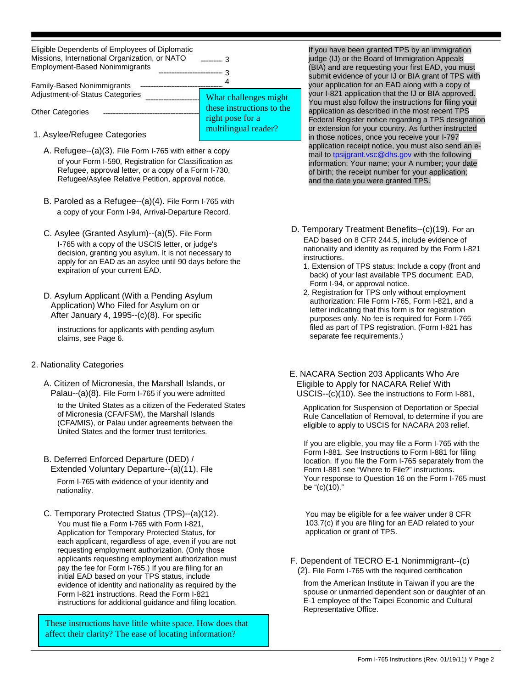| Eligible Dependents of Employees of Diplomatic<br>Missions, International Organization, or NATO<br><b>Employment-Based Nonimmigrants</b> |                                               |
|------------------------------------------------------------------------------------------------------------------------------------------|-----------------------------------------------|
| <b>Family-Based Nonimmigrants</b><br>Adjustment-of-Status Categories                                                                     | What challenges might                         |
| <b>Other Categories</b>                                                                                                                  | these instructions to the<br>right pose for a |
| 1 Asylaa (Dafuqaa Cataqariaa                                                                                                             | multilingual reader?                          |

- 1. Asylee/Refugee Categories
	- A. Refugee--(a)(3). File Form I-765 with either a copy of your Form I-590, Registration for Classification as Refugee, approval letter, or a copy of a Form I-730, Refugee/Asylee Relative Petition, approval notice.
	- B. Paroled as a Refugee--(a)(4). File Form I-765 with a copy of your Form I-94, Arrival-Departure Record.
	- C. Asylee (Granted Asylum)--(a)(5). File Form I-765 with a copy of the USCIS letter, or judge's decision, granting you asylum. It is not necessary to apply for an EAD as an asylee until 90 days before the expiration of your current EAD.
	- D. Asylum Applicant (With a Pending Asylum Application) Who Filed for Asylum on or After January 4, 1995--(c)(8). For specific

instructions for applicants with pending asylum claims, see Page 6.

# 2. Nationality Categories

A. Citizen of Micronesia, the Marshall Islands, or Palau--(a)(8). File Form I-765 if you were admitted

to the United States as a citizen of the Federated States of Micronesia (CFA/FSM), the Marshall Islands (CFA/MIS), or Palau under agreements between the United States and the former trust territories.

B. Deferred Enforced Departure (DED) / Extended Voluntary Departure--(a)(11). File

Form I-765 with evidence of your identity and nationality.

C. Temporary Protected Status (TPS)--(a)(12).

You must file a Form I-765 with Form I-821, Application for Temporary Protected Status, for each applicant, regardless of age, even if you are not requesting employment authorization. (Only those applicants requesting employment authorization must pay the fee for Form I-765.) If you are filing for an initial EAD based on your TPS status, include evidence of identity and nationality as required by the Form I-821 instructions. Read the Form I-821 instructions for additional guidance and filing location.

These instructions have little white space. How does that affect their clarity? The ease of locating information?

If you have been granted TPS by an immigration judge (IJ) or the Board of Immigration Appeals (BIA) and are requesting your first EAD, you must submit evidence of your IJ or BIA grant of TPS with your application for an EAD along with a copy of your I-821 application that the IJ or BIA approved. You must also follow the instructions for filing your application as described in the most recent TPS Federal Register notice regarding a TPS designation or extension for your country. As further instructed in those notices, once you receive your I-797 application receipt notice, you must also send an email to tpsijgrant.vsc@dhs.gov with the following information: Your name; your A number; your date of birth; the receipt number for your application; and the date you were granted TPS.

- D. Temporary Treatment Benefits--(c)(19). For an EAD based on 8 CFR 244.5, include evidence of nationality and identity as required by the Form I-821 instructions.
	- 1. Extension of TPS status: Include a copy (front and back) of your last available TPS document: EAD, Form I-94, or approval notice.
	- 2. Registration for TPS only without employment authorization: File Form I-765, Form I-821, and a letter indicating that this form is for registration purposes only. No fee is required for Form I-765 filed as part of TPS registration. (Form I-821 has separate fee requirements.)

E. NACARA Section 203 Applicants Who Are Eligible to Apply for NACARA Relief With USCIS--(c)(10). See the instructions to Form I-881,

Application for Suspension of Deportation or Special Rule Cancellation of Removal, to determine if you are eligible to apply to USCIS for NACARA 203 relief.

If you are eligible, you may file a Form I-765 with the Form I-881. See Instructions to Form I-881 for filing location. If you file the Form I-765 separately from the Form I-881 see "Where to File?" instructions. Your response to Question 16 on the Form I-765 must be "(c)(10)."

You may be eligible for a fee waiver under 8 CFR 103.7(c) if you are filing for an EAD related to your application or grant of TPS.

F. Dependent of TECRO E-1 Nonimmigrant--(c) (2). File Form I-765 with the required certification

from the American Institute in Taiwan if you are the spouse or unmarried dependent son or daughter of an E-1 employee of the Taipei Economic and Cultural Representative Office.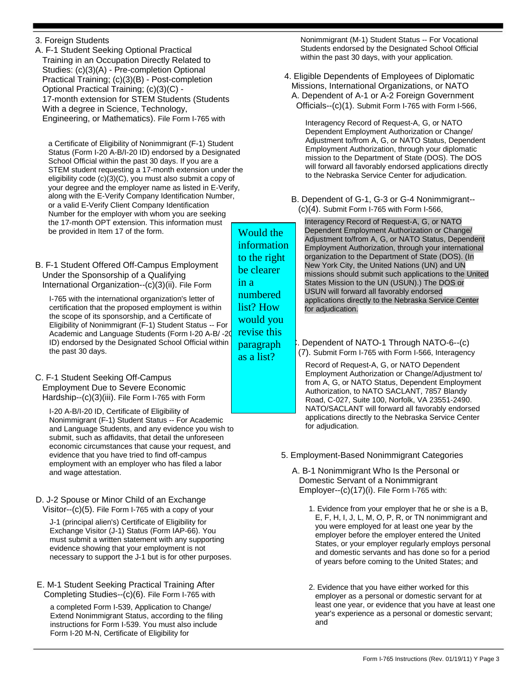Form I-765 Instructions (Rev. 01/19/11) Y Page 3

3. Foreign Students

A. F-1 Student Seeking Optional Practical Training in an Occupation Directly Related to Studies: (c)(3)(A) - Pre-completion Optional Practical Training; (c)(3)(B) - Post-completion Optional Practical Training; (c)(3)(C) - 17-month extension for STEM Students (Students With a degree in Science, Technology, Engineering, or Mathematics). File Form I-765 with

a Certificate of Eligibility of Nonimmigrant (F-1) Student Status (Form I-20 A-B/I-20 ID) endorsed by a Designated School Official within the past 30 days. If you are a STEM student requesting a 17-month extension under the eligibility code (c)(3)(C), you must also submit a copy of your degree and the employer name as listed in E-Verify, along with the E-Verify Company Identification Number, or a valid E-Verify Client Company Identification Number for the employer with whom you are seeking the 17-month OPT extension. This information must be provided in Item 17 of the form.

B. F-1 Student Offered Off-Campus Employment Under the Sponsorship of a Qualifying International Organization--(c)(3)(ii). File Form

I-765 with the international organization's letter of certification that the proposed employment is within the scope of its sponsorship, and a Certificate of Eligibility of Nonimmigrant (F-1) Student Status -- For Academic and Language Students (Form I-20 A-B/ -20 ID) endorsed by the Designated School Official within the past 30 days.

C. F-1 Student Seeking Off-Campus Employment Due to Severe Economic Hardship--(c)(3)(iii). File Form I-765 with Form

I-20 A-B/I-20 ID, Certificate of Eligibility of Nonimmigrant (F-1) Student Status -- For Academic and Language Students, and any evidence you wish to submit, such as affidavits, that detail the unforeseen economic circumstances that cause your request, and evidence that you have tried to find off-campus employment with an employer who has filed a labor and wage attestation.

D. J-2 Spouse or Minor Child of an Exchange Visitor--(c)(5). File Form I-765 with a copy of your

J-1 (principal alien's) Certificate of Eligibility for Exchange Visitor (J-1) Status (Form IAP-66). You must submit a written statement with any supporting evidence showing that your employment is not necessary to support the J-1 but is for other purposes.

E. M-1 Student Seeking Practical Training After Completing Studies--(c)(6). File Form I-765 with

a completed Form I-539, Application to Change/ Extend Nonimmigrant Status, according to the filing instructions for Form I-539. You must also include Form I-20 M-N, Certificate of Eligibility for

Nonimmigrant (M-1) Student Status -- For Vocational Students endorsed by the Designated School Official within the past 30 days, with your application.

4. Eligible Dependents of Employees of Diplomatic Missions, International Organizations, or NATO A. Dependent of A-1 or A-2 Foreign Government Officials--(c)(1). Submit Form I-765 with Form I-566,

> Interagency Record of Request-A, G, or NATO Dependent Employment Authorization or Change/ Adjustment to/from A, G, or NATO Status, Dependent Employment Authorization, through your diplomatic mission to the Department of State (DOS). The DOS will forward all favorably endorsed applications directly to the Nebraska Service Center for adjudication.

B. Dependent of G-1, G-3 or G-4 Nonimmigrant-- (c)(4). Submit Form I-765 with Form I-566,

Interagency Record of Request-A, G, or NATO Dependent Employment Authorization or Change/ Adjustment to/from A, G, or NATO Status, Dependent Employment Authorization, through your international organization to the Department of State (DOS). (In New York City, the United Nations (UN) and UN missions should submit such applications to the United States Mission to the UN (USUN).) The DOS or USUN will forward all favorably endorsed applications directly to the Nebraska Service Center for adjudication.

C. Dependent of NATO-1 Through NATO-6--(c) (7). Submit Form I-765 with Form I-566, Interagency

Record of Request-A, G, or NATO Dependent Employment Authorization or Change/Adjustment to/ from A, G, or NATO Status, Dependent Employment Authorization, to NATO SACLANT, 7857 Blandy Road, C-027, Suite 100, Norfolk, VA 23551-2490. NATO/SACLANT will forward all favorably endorsed applications directly to the Nebraska Service Center for adjudication.

- 5. Employment-Based Nonimmigrant Categories
	- A. B-1 Nonimmigrant Who Is the Personal or Domestic Servant of a Nonimmigrant Employer--(c)(17)(i). File Form I-765 with:
		- 1. Evidence from your employer that he or she is a B, E, F, H, I, J, L, M, O, P, R, or TN nonimmigrant and you were employed for at least one year by the employer before the employer entered the United States, or your employer regularly employs personal and domestic servants and has done so for a period of years before coming to the United States; and
		- 2. Evidence that you have either worked for this employer as a personal or domestic servant for at least one year, or evidence that you have at least one year's experience as a personal or domestic servant; and

Would the information to the right be clearer in a numbered list? How would you revise this paragraph as a list?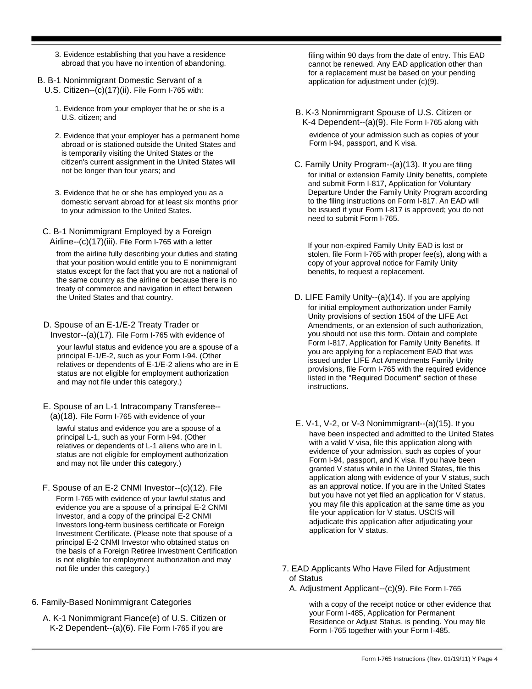- 3. Evidence establishing that you have a residence abroad that you have no intention of abandoning.
- B. B-1 Nonimmigrant Domestic Servant of a U.S. Citizen--(c)(17)(ii). File Form I-765 with:
	- 1. Evidence from your employer that he or she is a U.S. citizen; and
	- 2. Evidence that your employer has a permanent home abroad or is stationed outside the United States and is temporarily visiting the United States or the citizen's current assignment in the United States will not be longer than four years; and
	- 3. Evidence that he or she has employed you as a domestic servant abroad for at least six months prior to your admission to the United States.
	- C. B-1 Nonimmigrant Employed by a Foreign Airline--(c)(17)(iii). File Form I-765 with a letter

from the airline fully describing your duties and stating that your position would entitle you to E nonimmigrant status except for the fact that you are not a national of the same country as the airline or because there is no treaty of commerce and navigation in effect between<br>the United States and that country.

D. Spouse of an E-1/E-2 Treaty Trader or Investor--(a)(17). File Form I-765 with evidence of

your lawful status and evidence you are a spouse of a principal E-1/E-2, such as your Form I-94. (Other relatives or dependents of E-1/E-2 aliens who are in E status are not eligible for employment authorization and may not file under this category.)

E. Spouse of an L-1 Intracompany Transferee-- (a)(18). File Form I-765 with evidence of your

lawful status and evidence you are a spouse of a principal L-1, such as your Form I-94. (Other relatives or dependents of L-1 aliens who are in L status are not eligible for employment authorization and may not file under this category.)

- F. Spouse of an E-2 CNMI Investor--(c)(12). File Form I-765 with evidence of your lawful status and evidence you are a spouse of a principal E-2 CNMI Investor, and a copy of the principal E-2 CNMI Investors long-term business certificate or Foreign Investment Certificate. (Please note that spouse of a principal E-2 CNMI Investor who obtained status on the basis of a Foreign Retiree Investment Certification is not eligible for employment authorization and may
- 6. Family-Based Nonimmigrant Categories
	- A. K-1 Nonimmigrant Fiance(e) of U.S. Citizen or K-2 Dependent--(a)(6). File Form I-765 if you are

filing within 90 days from the date of entry. This EAD cannot be renewed. Any EAD application other than for a replacement must be based on your pending application for adjustment under (c)(9).

B. K-3 Nonimmigrant Spouse of U.S. Citizen or K-4 Dependent--(a)(9). File Form I-765 along with

evidence of your admission such as copies of your Form I-94, passport, and K visa.

C. Family Unity Program--(a)(13). If you are filing for initial or extension Family Unity benefits, complete and submit Form I-817, Application for Voluntary Departure Under the Family Unity Program according to the filing instructions on Form I-817. An EAD will be issued if your Form I-817 is approved; you do not need to submit Form I-765.

If your non-expired Family Unity EAD is lost or stolen, file Form I-765 with proper fee(s), along with a copy of your approval notice for Family Unity benefits, to request a replacement.

- D. LIFE Family Unity--(a)(14). If you are applying for initial employment authorization under Family Unity provisions of section 1504 of the LIFE Act Amendments, or an extension of such authorization, you should not use this form. Obtain and complete Form I-817, Application for Family Unity Benefits. If you are applying for a replacement EAD that was issued under LIFE Act Amendments Family Unity provisions, file Form I-765 with the required evidence listed in the "Required Document" section of these instructions.
- E. V-1, V-2, or V-3 Nonimmigrant--(a)(15). If you have been inspected and admitted to the United States with a valid V visa, file this application along with evidence of your admission, such as copies of your Form I-94, passport, and K visa. If you have been granted V status while in the United States, file this application along with evidence of your V status, such as an approval notice. If you are in the United States but you have not yet filed an application for V status, you may file this application at the same time as you file your application for V status. USCIS will adjudicate this application after adjudicating your application for V status.
- not file under this category.) T. EAD Applicants Who Have Filed for Adjustment of Status
	- A. Adjustment Applicant--(c)(9). File Form I-765

with a copy of the receipt notice or other evidence that your Form I-485, Application for Permanent Residence or Adjust Status, is pending. You may file Form I-765 together with your Form I-485.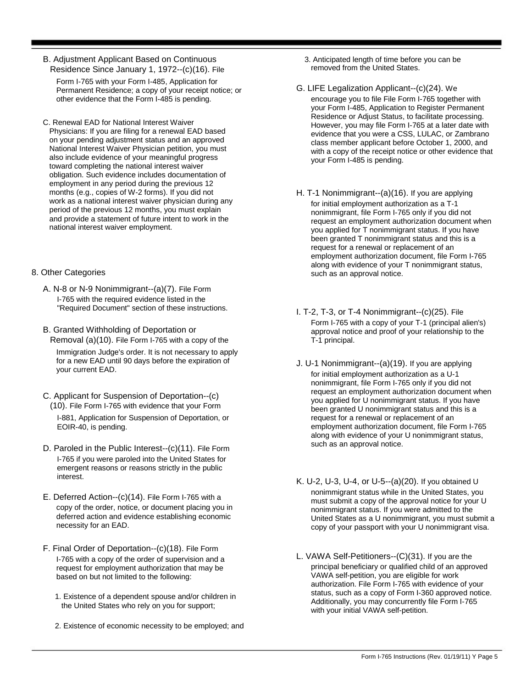B. Adjustment Applicant Based on Continuous Residence Since January 1, 1972--(c)(16). File

Form I-765 with your Form I-485, Application for Permanent Residence; a copy of your receipt notice; or other evidence that the Form I-485 is pending.

C. Renewal EAD for National Interest Waiver Physicians: If you are filing for a renewal EAD based on your pending adjustment status and an approved National Interest Waiver Physician petition, you must also include evidence of your meaningful progress toward completing the national interest waiver obligation. Such evidence includes documentation of employment in any period during the previous 12 months (e.g., copies of W-2 forms). If you did not work as a national interest waiver physician during any period of the previous 12 months, you must explain and provide a statement of future intent to work in the national interest waiver employment.

- A. N-8 or N-9 Nonimmigrant--(a)(7). File Form I-765 with the required evidence listed in the<br>"Required Document" section of these instructions.
- B. Granted Withholding of Deportation or Removal (a)(10). File Form I-765 with a copy of the

Immigration Judge's order. It is not necessary to apply for a new EAD until 90 days before the expiration of your current EAD.

- C. Applicant for Suspension of Deportation--(c) (10). File Form I-765 with evidence that your Form I-881, Application for Suspension of Deportation, or EOIR-40, is pending.
- D. Paroled in the Public Interest--(c)(11). File Form I-765 if you were paroled into the United States for emergent reasons or reasons strictly in the public<br>interest
- E. Deferred Action--(c)(14). File Form I-765 with a copy of the order, notice, or document placing you in deferred action and evidence establishing economic necessity for an EAD.
- F. Final Order of Deportation--(c)(18). File Form I-765 with a copy of the order of supervision and a request for employment authorization that may be based on but not limited to the following:
	- 1. Existence of a dependent spouse and/or children in the United States who rely on you for support;
	- 2. Existence of economic necessity to be employed; and

3. Anticipated length of time before you can be removed from the United States.

- G. LIFE Legalization Applicant--(c)(24). We encourage you to file File Form I-765 together with your Form I-485, Application to Register Permanent Residence or Adjust Status, to facilitate processing. However, you may file Form I-765 at a later date with evidence that you were a CSS, LULAC, or Zambrano class member applicant before October 1, 2000, and with a copy of the receipt notice or other evidence that your Form I-485 is pending.
- H. T-1 Nonimmigrant--(a)(16). If you are applying for initial employment authorization as a T-1 nonimmigrant, file Form I-765 only if you did not request an employment authorization document when you applied for T nonimmigrant status. If you have been granted T nonimmigrant status and this is a request for a renewal or replacement of an employment authorization document, file Form I-765 along with evidence of your T nonimmigrant status,<br>along with evidence of your T nonimmigrant status,<br>such as an approval notice.
	- I. T-2, T-3, or T-4 Nonimmigrant--(c)(25). File Form I-765 with a copy of your T-1 (principal alien's) approval notice and proof of your relationship to the T-1 principal.
	- J. U-1 Nonimmigrant--(a)(19). If you are applying for initial employment authorization as a U-1 nonimmigrant, file Form I-765 only if you did not request an employment authorization document when you applied for U nonimmigrant status. If you have been granted U nonimmigrant status and this is a request for a renewal or replacement of an employment authorization document, file Form I-765 along with evidence of your U nonimmigrant status, such as an approval notice.
	- K. U-2, U-3, U-4, or U-5--(a)(20). If you obtained U nonimmigrant status while in the United States, you must submit a copy of the approval notice for your U nonimmigrant status. If you were admitted to the United States as a U nonimmigrant, you must submit a copy of your passport with your U nonimmigrant visa.
	- L. VAWA Self-Petitioners--(C)(31). If you are the principal beneficiary or qualified child of an approved VAWA self-petition, you are eligible for work authorization. File Form I-765 with evidence of your status, such as a copy of Form I-360 approved notice. Additionally, you may concurrently file Form I-765 with your initial VAWA self-petition.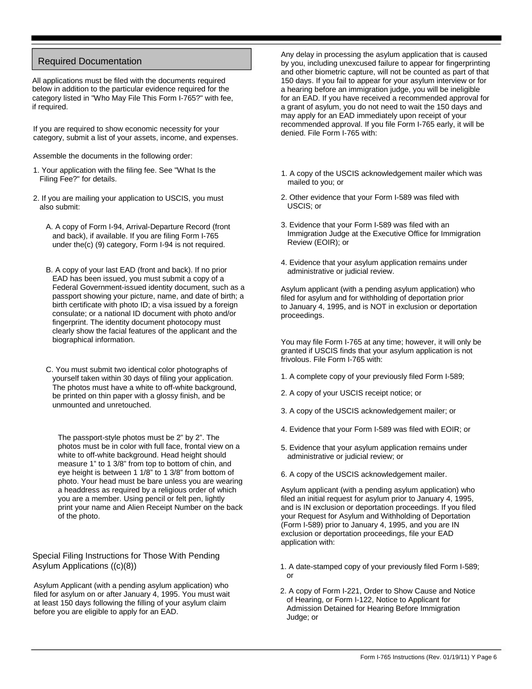# Required Documentation

All applications must be filed with the documents required below in addition to the particular evidence required for the category listed in "Who May File This Form I-765?" with fee, if required.

If you are required to show economic necessity for your category, submit a list of your assets, income, and expenses.

Assemble the documents in the following order:

- 1. Your application with the filing fee. See "What Is the Filing Fee?" for details.
- 2. If you are mailing your application to USCIS, you must also submit:
	- A. A copy of Form I-94, Arrival-Departure Record (front and back), if available. If you are filing Form I-765 under the(c) (9) category, Form I-94 is not required.
	- B. A copy of your last EAD (front and back). If no prior EAD has been issued, you must submit a copy of a Federal Government-issued identity document, such as a passport showing your picture, name, and date of birth; a birth certificate with photo ID; a visa issued by a foreign consulate; or a national ID document with photo and/or fingerprint. The identity document photocopy must clearly show the facial features of the applicant and the biographical information.
	- C. You must submit two identical color photographs of yourself taken within 30 days of filing your application. The photos must have a white to off-white background, be printed on thin paper with a glossy finish, and be unmounted and unretouched.

The passport-style photos must be 2" by 2". The photos must be in color with full face, frontal view on a white to off-white background. Head height should measure 1" to 1 3/8" from top to bottom of chin, and eye height is between 1 1/8" to 1 3/8" from bottom of photo. Your head must be bare unless you are wearing a headdress as required by a religious order of which you are a member. Using pencil or felt pen, lightly print your name and Alien Receipt Number on the back of the photo.

# Special Filing Instructions for Those With Pending Asylum Applications ((c)(8))

Asylum Applicant (with a pending asylum application) who filed for asylum on or after January 4, 1995. You must wait at least 150 days following the filling of your asylum claim before you are eligible to apply for an EAD.

Any delay in processing the asylum application that is caused by you, including unexcused failure to appear for fingerprinting and other biometric capture, will not be counted as part of that 150 days. If you fail to appear for your asylum interview or for a hearing before an immigration judge, you will be ineligible for an EAD. If you have received a recommended approval for a grant of asylum, you do not need to wait the 150 days and may apply for an EAD immediately upon receipt of your recommended approval. If you file Form I-765 early, it will be denied. File Form I-765 with:

- 1. A copy of the USCIS acknowledgement mailer which was mailed to you; or
- 2. Other evidence that your Form I-589 was filed with USCIS; or
- 3. Evidence that your Form I-589 was filed with an Immigration Judge at the Executive Office for Immigration Review (EOIR); or
- 4. Evidence that your asylum application remains under administrative or judicial review.

Asylum applicant (with a pending asylum application) who filed for asylum and for withholding of deportation prior to January 4, 1995, and is NOT in exclusion or deportation proceedings.

You may file Form I-765 at any time; however, it will only be granted if USCIS finds that your asylum application is not frivolous. File Form I-765 with:

- 1. A complete copy of your previously filed Form I-589;
- 2. A copy of your USCIS receipt notice; or
- 3. A copy of the USCIS acknowledgement mailer; or
- 4. Evidence that your Form I-589 was filed with EOIR; or
- 5. Evidence that your asylum application remains under administrative or judicial review; or
- 6. A copy of the USCIS acknowledgement mailer.

Asylum applicant (with a pending asylum application) who filed an initial request for asylum prior to January 4, 1995, and is IN exclusion or deportation proceedings. If you filed your Request for Asylum and Withholding of Deportation (Form I-589) prior to January 4, 1995, and you are IN exclusion or deportation proceedings, file your EAD application with:

- 1. A date-stamped copy of your previously filed Form I-589; or
- 2. A copy of Form I-221, Order to Show Cause and Notice of Hearing, or Form I-122, Notice to Applicant for Admission Detained for Hearing Before Immigration Judge; or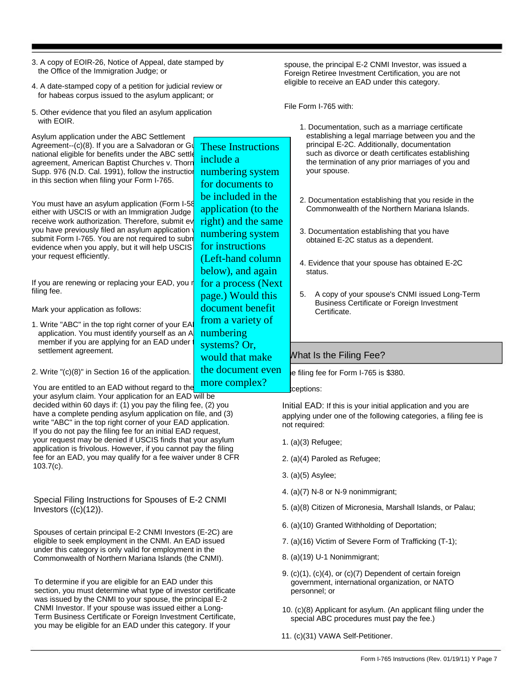- 3. A copy of EOIR-26, Notice of Appeal, date stamped by the Office of the Immigration Judge; or
- 4. A date-stamped copy of a petition for judicial review or for habeas corpus issued to the asylum applicant; or
- 5. Other evidence that you filed an asylum application with EOIR.

Asylum application under the ABC Settlement Agreement-- $(c)(8)$ . If you are a Salvadoran or Guatemalan national eligible for benefits under the ABC settle agreement, American Baptist Churches v. Thorn Supp. 976 (N.D. Cal. 1991), follow the instruction in this section when filing your Form I-765. You must have an asylum application (Form I-58 either with USCIS or with an Immigration Judge receive work authorization. Therefore, submit ev you have previously filed an asylum application submit Form I-765. You are not required to subn evidence when you apply, but it will help USCIS your request efficiently. If you are renewing or replacing your EAD, you r filing fee. Mark your application as follows: 1. Write "ABC" in the top right corner of your EA application. You must identify yourself as an A member if you are applying for an EAD under settlement agreement. 2. Write "(c)(8)" in Section 16 of the application. You are entitled to an EAD without regard to the your asylum claim. Your application for an EAD will be decided within 60 days if: (1) you pay the filing fee, (2) you have a complete pending asylum application on file, and (3) write "ABC" in the top right corner of your EAD application. If you do not pay the filing fee for an initial EAD request, your request may be denied if USCIS finds that your asylum application is frivolous. However, if you cannot pay the filing fee for an EAD, you may qualify for a fee waiver under 8 CFR 103.7(c). 1. Documentation, such as a marriage certificate establishing a legal marriage between you and the principal E-2C. Additionally, documentation such as divorce or death certificates establishing the termination of any prior marriages of you and your spouse. 2. Documentation establishing that you reside in the Commonwealth of the Northern Mariana Islands. 3. Documentation establishing that you have obtained E-2C status as a dependent. 4. Evidence that your spouse has obtained E-2C status. 5. A copy of your spouse's CNMI issued Long-Term Business Certificate or Foreign Investment Certificate. What Is the Filing Fee? e filing fee for Form I-765 is \$380. kceptions: Initial EAD: If this is your initial application and you are applying under one of the following categories, a filing fee is not required: 1. (a)(3) Refugee; 2. (a)(4) Paroled as Refugee; 3. (a)(5) Asylee; 4. (a)(7) N-8 or N-9 nonimmigrant; 5. (a)(8) Citizen of Micronesia, Marshall Islands, or Palau; 6. (a)(10) Granted Withholding of Deportation; 7. (a)(16) Victim of Severe Form of Trafficking (T-1); 8. (a)(19) U-1 Nonimmigrant; 9. (c)(1), (c)(4), or (c)(7) Dependent of certain foreign government, international organization, or NATO personnel; or 10. (c)(8) Applicant for asylum. (An applicant filing under the special ABC procedures must pay the fee.) Special Filing Instructions for Spouses of E-2 CNMI Investors  $((c)(12))$ . Spouses of certain principal E-2 CNMI Investors (E-2C) are eligible to seek employment in the CNMI. An EAD issued under this category is only valid for employment in the Commonwealth of Northern Mariana Islands (the CNMI). To determine if you are eligible for an EAD under this section, you must determine what type of investor certificate was issued by the CNMI to your spouse, the principal E-2 CNMI Investor. If your spouse was issued either a Long-Term Business Certificate or Foreign Investment Certificate, you may be eligible for an EAD under this category. If your These Instructions include a numbering system for documents to be included in the application (to the right) and the same numbering system for instructions (Left-hand column below), and again for a process (Next page.) Would this document benefit from a variety of numbering systems? Or, would that make the document even more complex?

11. (c)(31) VAWA Self-Petitioner.

spouse, the principal E-2 CNMI Investor, was issued a Foreign Retiree Investment Certification, you are not eligible to receive an EAD under this category.

File Form I-765 with: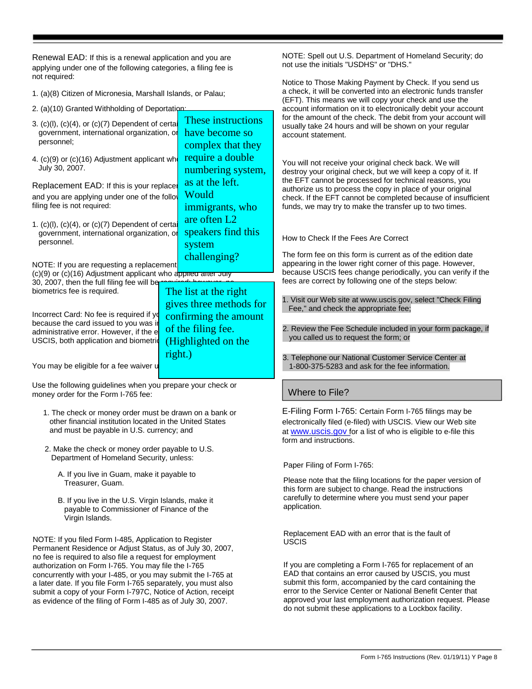Renewal EAD: If this is a renewal application and you are applying under one of the following categories, a filing fee is not required:

1. (a)(8) Citizen of Micronesia, Marshall Islands, or Palau;

2. (a)(10) Granted Withholding of Deportation;

| 2. (a)(10) Granted Withholding of Deportation:                                                                                                                                 |         |                                                                           | account information on it to electronically debit your account                                                                                                                                                                                      |
|--------------------------------------------------------------------------------------------------------------------------------------------------------------------------------|---------|---------------------------------------------------------------------------|-----------------------------------------------------------------------------------------------------------------------------------------------------------------------------------------------------------------------------------------------------|
| 3. $(c)(l)$ , $(c)(4)$ , or $(c)(7)$ Dependent of certai<br>government, international organization, or<br>personnel;                                                           |         | These instructions<br>have become so<br>complex that they                 | for the amount of the check. The debit from your account will<br>usually take 24 hours and will be shown on your regular<br>account statement.                                                                                                      |
| 4. (c)(9) or (c)(16) Adjustment applicant who<br>July 30, 2007.                                                                                                                |         | require a double<br>numbering system,                                     | You will not receive your original check back. We will<br>destroy your original check, but we will keep a copy of it. If                                                                                                                            |
| Replacement EAD: If this is your replace<br>and you are applying under one of the follow<br>filing fee is not required:                                                        |         | as at the left.<br>Would<br>immigrants, who                               | the EFT cannot be processed for technical reasons, you<br>authorize us to process the copy in place of your original<br>check. If the EFT cannot be completed because of insufficient<br>funds, we may try to make the transfer up to two times.    |
| 1. $(c)(l)$ , $(c)(4)$ , or $(c)(7)$ Dependent of certai<br>government, international organization, or<br>personnel.                                                           |         | are often L2<br>speakers find this<br>system                              | How to Check If the Fees Are Correct                                                                                                                                                                                                                |
| challenging?<br>NOTE: If you are requesting a replacement<br>$(c)(9)$ or $(c)(16)$ Adjustment applicant who applied after July<br>30, 2007, then the full filing fee will ber- |         |                                                                           | The form fee on this form is current as of the edition date<br>appearing in the lower right corner of this page. However,<br>because USCIS fees change periodically, you can verify if the<br>fees are correct by following one of the steps below: |
| biometrics fee is required.<br>Incorrect Card: No fee is required if yo<br>because the card issued to you was in                                                               |         | The list at the right<br>gives three methods for<br>confirming the amount | 1. Visit our Web site at www.uscis.gov, select "Check Filing<br>Fee," and check the appropriate fee;                                                                                                                                                |
| administrative error. However, if the e<br>USCIS, both application and biometric                                                                                               |         | of the filing fee.<br>(Highlighted on the                                 | 2. Review the Fee Schedule included in your form package, if<br>you called us to request the form; or                                                                                                                                               |
| You may be eligible for a fee waiver u                                                                                                                                         | right.) |                                                                           | 3. Telephone our National Customer Service Center at<br>1-800-375-5283 and ask for the fee information.                                                                                                                                             |
| Use the following guidelines when you prepare your check or<br>money order for the Form I-765 fee:                                                                             |         |                                                                           | Where to File?                                                                                                                                                                                                                                      |
| 1. The check or money order must be drawn on a bank or                                                                                                                         |         |                                                                           | E-Filing Form I-765: Certain Form I-765 filings may be                                                                                                                                                                                              |

- 1. The check or money order must be drawn on a bank or other financial institution located in the United States and must be payable in U.S. currency; and
- 2. Make the check or money order payable to U.S. Department of Homeland Security, unless:
	- A. If you live in Guam, make it payable to Treasurer, Guam.
	- B. If you live in the U.S. Virgin Islands, make it payable to Commissioner of Finance of the Virgin Islands.

NOTE: If you filed Form I-485, Application to Register Permanent Residence or Adjust Status, as of July 30, 2007, no fee is required to also file a request for employment authorization on Form I-765. You may file the I-765 concurrently with your I-485, or you may submit the I-765 at a later date. If you file Form I-765 separately, you must also submit a copy of your Form I-797C, Notice of Action, receipt as evidence of the filing of Form I-485 as of July 30, 2007.

at www.uscis.gov for a list of who is eligible to e-file this form and instructions.

electronically filed (e-filed) with USCIS. View our Web site

NOTE: Spell out U.S. Department of Homeland Security; do

Notice to Those Making Payment by Check. If you send us a check, it will be converted into an electronic funds transfer (EFT). This means we will copy your check and use the

not use the initials "USDHS" or "DHS."

Paper Filing of Form I-765:

Please note that the filing locations for the paper version of this form are subject to change. Read the instructions carefully to determine where you must send your paper application.

Replacement EAD with an error that is the fault of USCIS

If you are completing a Form I-765 for replacement of an EAD that contains an error caused by USCIS, you must submit this form, accompanied by the card containing the error to the Service Center or National Benefit Center that approved your last employment authorization request. Please do not submit these applications to a Lockbox facility.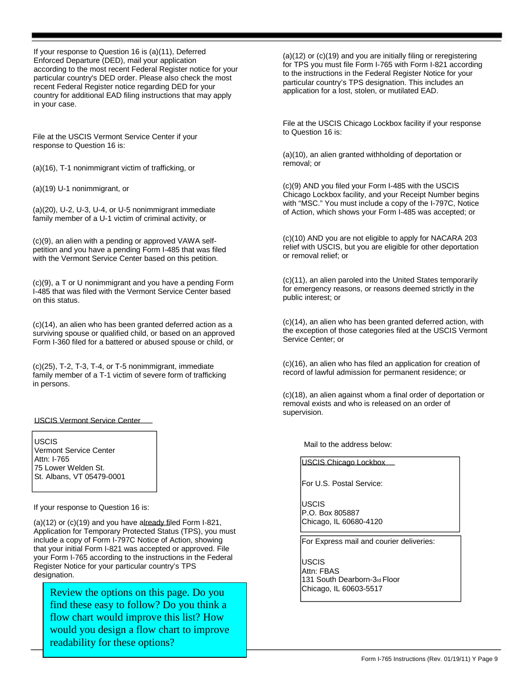If your response to Question 16 is (a)(11), Deferred Enforced Departure (DED), mail your application according to the most recent Federal Register notice for your particular country's DED order. Please also check the most recent Federal Register notice regarding DED for your country for additional EAD filing instructions that may apply in your case.

File at the USCIS Vermont Service Center if your response to Question 16 is:

(a)(16), T-1 nonimmigrant victim of trafficking, or

(a)(19) U-1 nonimmigrant, or

(a)(20), U-2, U-3, U-4, or U-5 nonimmigrant immediate family member of a U-1 victim of criminal activity, or

(c)(9), an alien with a pending or approved VAWA selfpetition and you have a pending Form I-485 that was filed with the Vermont Service Center based on this petition.

(c)(9), a T or U nonimmigrant and you have a pending Form I-485 that was filed with the Vermont Service Center based on this status.

(c)(14), an alien who has been granted deferred action as a surviving spouse or qualified child, or based on an approved Form I-360 filed for a battered or abused spouse or child, or

(c)(25), T-2, T-3, T-4, or T-5 nonimmigrant, immediate family member of a T-1 victim of severe form of trafficking in persons.

### USCIS Vermont Service Center

USCIS Vermont Service Center Attn: I-765 75 Lower Welden St. St. Albans, VT 05479-0001

If your response to Question 16 is:

(a)(12) or (c)(19) and you have already filed Form I-821, Application for Temporary Protected Status (TPS), you must include a copy of Form I-797C Notice of Action, showing that your initial Form I-821 was accepted or approved. File your Form I-765 according to the instructions in the Federal Register Notice for your particular country's TPS designation.

Review the options on this page. Do you find these easy to follow? Do you think a flow chart would improve this list? How would you design a flow chart to improve readability for these options?

(a)(12) or (c)(19) and you are initially filing or reregistering for TPS you must file Form I-765 with Form I-821 according to the instructions in the Federal Register Notice for your particular country's TPS designation. This includes an application for a lost, stolen, or mutilated EAD.

File at the USCIS Chicago Lockbox facility if your response to Question 16 is:

(a)(10), an alien granted withholding of deportation or removal; or

(c)(9) AND you filed your Form I-485 with the USCIS Chicago Lockbox facility, and your Receipt Number begins with "MSC." You must include a copy of the I-797C, Notice of Action, which shows your Form I-485 was accepted; or

(c)(10) AND you are not eligible to apply for NACARA 203 relief with USCIS, but you are eligible for other deportation or removal relief; or

(c)(11), an alien paroled into the United States temporarily for emergency reasons, or reasons deemed strictly in the public interest; or

(c)(14), an alien who has been granted deferred action, with the exception of those categories filed at the USCIS Vermont Service Center; or

(c)(16), an alien who has filed an application for creation of record of lawful admission for permanent residence; or

(c)(18), an alien against whom a final order of deportation or removal exists and who is released on an order of supervision.

Mail to the address below:

USCIS Chicago Lockbox

For U.S. Postal Service:

USCIS P.O. Box 805887 Chicago, IL 60680-4120

For Express mail and courier deliveries:

USCIS Attn: FBAS 131 South Dearborn-3rd Floor Chicago, IL 60603-5517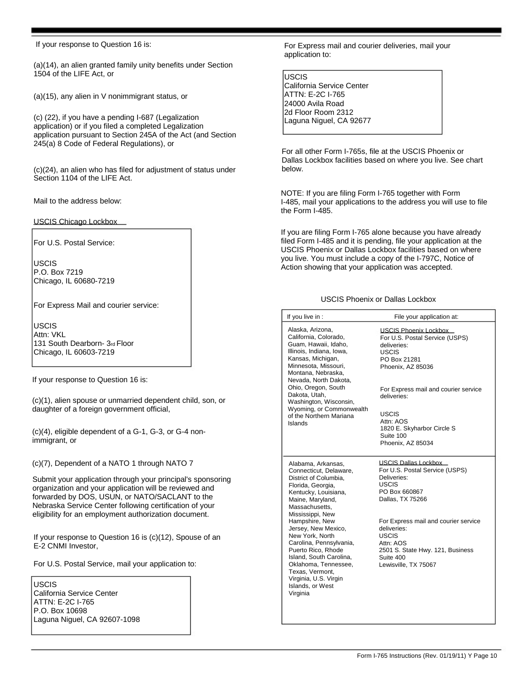If your response to Question 16 is:

(a)(14), an alien granted family unity benefits under Section 1504 of the LIFE Act, or

(a)(15), any alien in V nonimmigrant status, or

(c) (22), if you have a pending I-687 (Legalization application) or if you filed a completed Legalization application pursuant to Section 245A of the Act (and Section 245(a) 8 Code of Federal Regulations), or

(c)(24), an alien who has filed for adjustment of status under Section 1104 of the LIFE Act.

Mail to the address below:

USCIS Chicago Lockbox

For U.S. Postal Service:

USCIS P.O. Box 7219 Chicago, IL 60680-7219

For Express Mail and courier service:

USCIS Attn: VKL 131 South Dearborn- 3rd Floor Chicago, IL 60603-7219

If your response to Question 16 is:

(c)(1), alien spouse or unmarried dependent child, son, or daughter of a foreign government official,

(c)(4), eligible dependent of a G-1, G-3, or G-4 nonimmigrant, or

(c)(7), Dependent of a NATO 1 through NATO 7

Submit your application through your principal's sponsoring organization and your application will be reviewed and forwarded by DOS, USUN, or NATO/SACLANT to the Nebraska Service Center following certification of your eligibility for an employment authorization document.

If your response to Question 16 is (c)(12), Spouse of an E-2 CNMI Investor,

For U.S. Postal Service, mail your application to:

USCIS California Service Center ATTN: E-2C I-765 P.O. Box 10698 Laguna Niguel, CA 92607-1098

For Express mail and courier deliveries, mail your application to:

### USCIS

California Service Center ATTN: E-2C I-765 24000 Avila Road 2d Floor Room 2312 Laguna Niguel, CA 92677

For all other Form I-765s, file at the USCIS Phoenix or Dallas Lockbox facilities based on where you live. See chart below.

NOTE: If you are filing Form I-765 together with Form I-485, mail your applications to the address you will use to file the Form I-485.

If you are filing Form I-765 alone because you have already filed Form I-485 and it is pending, file your application at the USCIS Phoenix or Dallas Lockbox facilities based on where you live. You must include a copy of the I-797C, Notice of Action showing that your application was accepted.

### USCIS Phoenix or Dallas Lockbox

| If you live in :                                                                                                                                                                                                                                                                                                                     | File your application at:                                                                                                                                 |
|--------------------------------------------------------------------------------------------------------------------------------------------------------------------------------------------------------------------------------------------------------------------------------------------------------------------------------------|-----------------------------------------------------------------------------------------------------------------------------------------------------------|
| Alaska, Arizona,<br>California, Colorado,<br>Guam, Hawaii, Idaho,<br>Illinois, Indiana, Iowa,<br>Kansas, Michigan,<br>Minnesota, Missouri,<br>Montana, Nebraska,<br>Nevada. North Dakota.<br>Ohio, Oregon, South<br>Dakota, Utah,<br>Washington, Wisconsin,<br>Wyoming, or Commonwealth<br>of the Northern Mariana<br><b>Islands</b> | <b>USCIS Phoenix Lockbox</b><br>For U.S. Postal Service (USPS)<br>deliveries:<br><b>USCIS</b><br>PO Box 21281<br>Phoenix, AZ 85036                        |
|                                                                                                                                                                                                                                                                                                                                      | For Express mail and courier service<br>deliveries:                                                                                                       |
|                                                                                                                                                                                                                                                                                                                                      | <b>USCIS</b><br>Attn: AOS<br>1820 E. Skyharbor Circle S<br>Suite 100<br>Phoenix, AZ 85034                                                                 |
| Alabama, Arkansas,<br>Connecticut, Delaware,<br>District of Columbia.<br>Florida, Georgia,<br>Kentucky, Louisiana,<br>Maine, Maryland,<br>Massachusetts,<br>Mississippi, New                                                                                                                                                         | <b>USCIS Dallas Lockbox</b><br>For U.S. Postal Service (USPS)<br>Deliveries:<br><b>USCIS</b><br>PO Box 660867<br>Dallas, TX 75266                         |
| Hampshire, New<br>Jersey, New Mexico,<br>New York, North<br>Carolina, Pennsylvania,<br>Puerto Rico, Rhode<br>Island. South Carolina.<br>Oklahoma, Tennessee,<br>Texas, Vermont,<br>Virginia, U.S. Virgin<br>Islands, or West<br>Virginia                                                                                             | For Express mail and courier service<br>deliveries:<br><b>USCIS</b><br>Attn: AOS<br>2501 S. State Hwy. 121, Business<br>Suite 400<br>Lewisville, TX 75067 |
|                                                                                                                                                                                                                                                                                                                                      |                                                                                                                                                           |